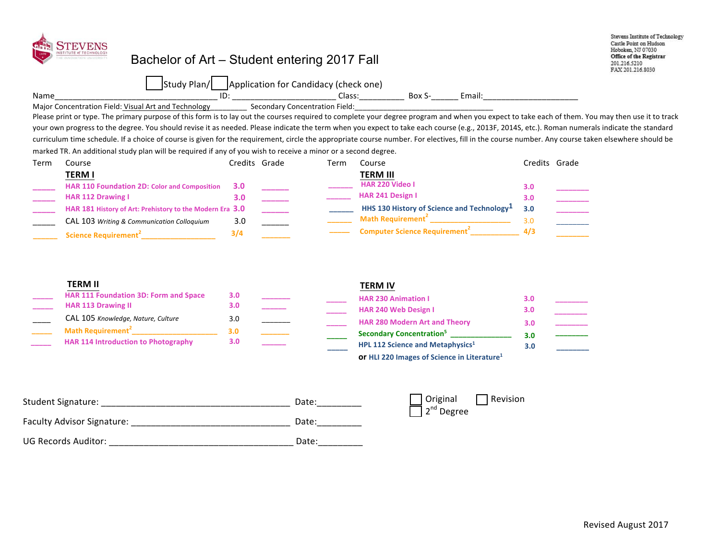

## Bachelor of Art – Student entering 2017 Fall

Stevens Institute of Technology Castle Point on Hudson Hoboken, NJ 07030 Office of the Registrar 201.216.5210 FAX 201.216.8030

|      | -<br>▵<br>7 I<br>ıa |                            |                |                                           |
|------|---------------------|----------------------------|----------------|-------------------------------------------|
| Name | ıυ                  | ciass<br>_________________ | DUA<br>_______ | -<br>Ellidii.<br>________________________ |

Major Concentration Field: Visual Art and Technology Secondary Concentration Field:

Please print or type. The primary purpose of this form is to lay out the courses required to complete your degree program and when you expect to take each of them. You may then use it to track your own progress to the degree. You should revise it as needed. Please indicate the term when you expect to take each course (e.g., 2013F, 2014S, etc.). Roman numerals indicate the standard curriculum time schedule. If a choice of course is given for the requirement, circle the appropriate course number. For electives, fill in the course number. Any course taken elsewhere should be marked TR. An additional study plan will be required if any of you wish to receive a minor or a second degree.

| Term | Course                                                   |     | Credits Grade | Term | Course                                                 |     | Credits Grade |
|------|----------------------------------------------------------|-----|---------------|------|--------------------------------------------------------|-----|---------------|
|      | <b>TERM I</b>                                            |     |               |      | <b>TERM III</b>                                        |     |               |
|      | <b>HAR 110 Foundation 2D: Color and Composition</b>      | 3.0 |               |      | <b>HAR 220 Video I</b>                                 | 3.0 |               |
|      | <b>HAR 112 Drawing I</b>                                 | 3.0 |               |      | <b>HAR 241 Design I</b>                                | 3.0 |               |
|      | HAR 181 History of Art: Prehistory to the Modern Era 3.0 |     |               |      | HHS 130 History of Science and Technology <sup>1</sup> | 3.0 |               |
|      | CAL 103 Writing & Communication Colloquium               | 3.0 |               |      | <b>Math Requirement</b>                                | 3.0 |               |
|      | Science Requirement <sup>2</sup>                         | 3/4 |               |      | <b>Computer Science Requirement</b>                    | 4/3 |               |

| <b>TERM II</b>                               |     |  | <b>TERM IV</b>                                                 |     |  |
|----------------------------------------------|-----|--|----------------------------------------------------------------|-----|--|
| <b>HAR 111 Foundation 3D: Form and Space</b> | 3.0 |  | <b>HAR 230 Animation I</b>                                     | 3.0 |  |
| <b>HAR 113 Drawing II</b>                    | 3.0 |  | <b>HAR 240 Web Design I</b>                                    | 3.0 |  |
| CAL 105 Knowledge, Nature, Culture           | 3.0 |  | <b>HAR 280 Modern Art and Theory</b>                           | 3.0 |  |
| Math Requirement <sup>2</sup>                | 3.0 |  | Secondary Concentration <sup>5</sup>                           |     |  |
| <b>HAR 114 Introduction to Photography</b>   | 3.0 |  | HPL 112 Science and Metaphysics <sup>1</sup>                   | 3.0 |  |
|                                              |     |  | <b>Or HLI 220 Images of Science in Literature</b> <sup>1</sup> |     |  |

| <b>Student Signature:</b>         | Date: | Original<br>2 <sup>nd</sup> Degree | l Revision |
|-----------------------------------|-------|------------------------------------|------------|
| <b>Faculty Advisor Signature:</b> | Date: |                                    |            |
| UG Records Auditor:               | Date: |                                    |            |